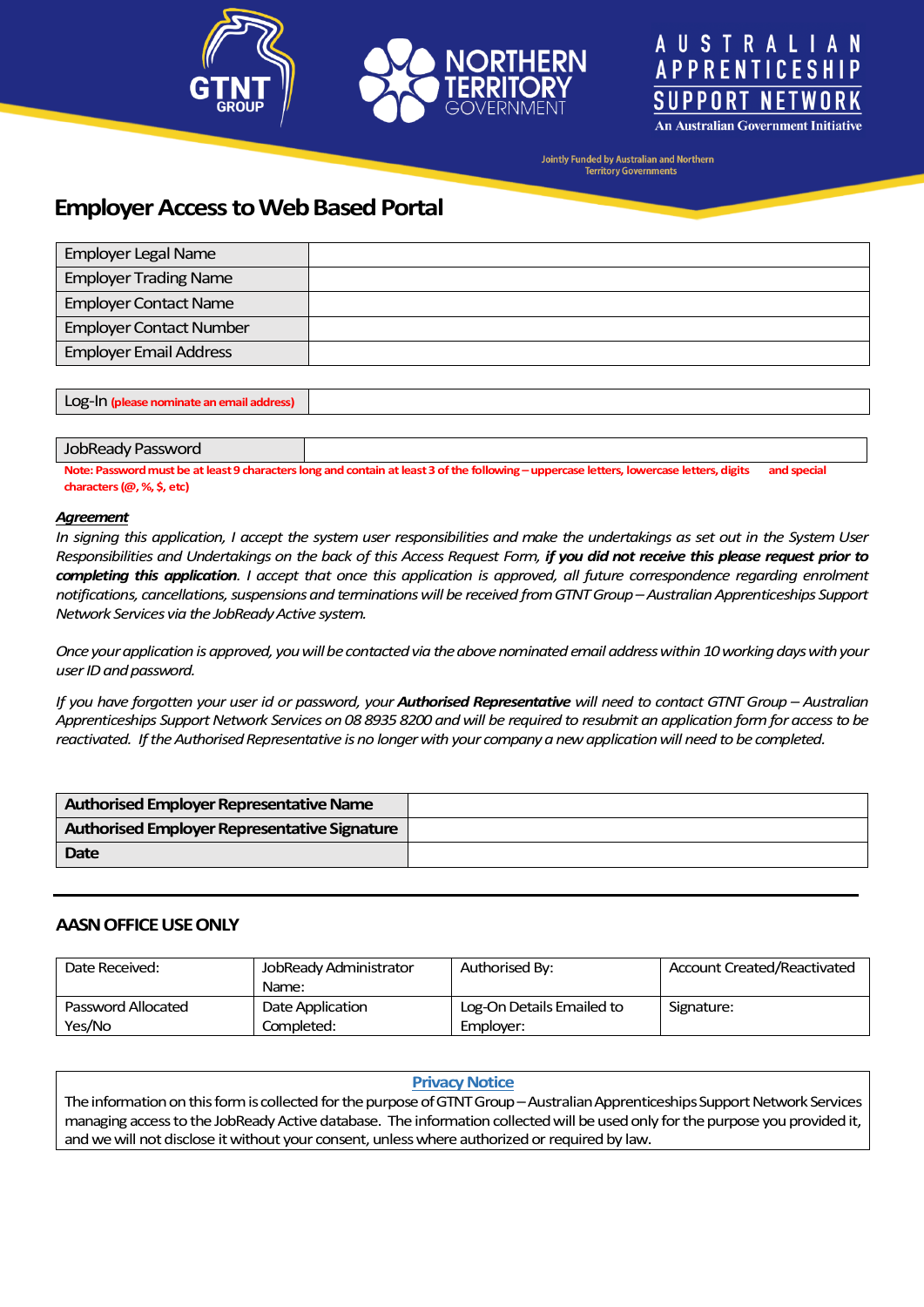





**An Australian Government Initiative** 

**Jointly Funded by Australian and Northern Territory Governments** 

# **Employer Access to Web Based Portal**

| <b>Employer Legal Name</b>     |  |
|--------------------------------|--|
| <b>Employer Trading Name</b>   |  |
| <b>Employer Contact Name</b>   |  |
| <b>Employer Contact Number</b> |  |
| <b>Employer Email Address</b>  |  |
|                                |  |

Log-In **(please nominate an email address)**

#### JobReady Password

Note: Password must be at least 9 characters long and contain at least 3 of the following – uppercase letters, lowercase letters, digits and special **characters (@, %, \$, etc)**

#### *Agreement*

*In signing this application, I accept the system user responsibilities and make the undertakings as set out in the System User Responsibilities and Undertakings on the back of this Access Request Form, if you did not receive this please request prior to completing this application. I accept that once this application is approved, all future correspondence regarding enrolment notifications, cancellations, suspensions and terminations will be received from GTNT Group –Australian Apprenticeships Support Network Servicesvia the JobReadyActive system.*

*Once yourapplication is approved, you will be contacted via the above nominated email address within 10 working days with your user ID and password.*

*If you have forgotten your user id or password, your Authorised Representative will need to contact GTNT Group – Australian Apprenticeships Support Network Services on 08 8935 8200 and will be required to resubmit an application form for access to be reactivated. Ifthe Authorised Representative is no longer with your company a new application will need to be completed.* 

| Authorised Employer Representative Name      |  |
|----------------------------------------------|--|
| Authorised Employer Representative Signature |  |
| Date                                         |  |
|                                              |  |

### **AASNOFFICE USE ONLY**

| Date Received:     | JobReady Administrator | Authorised By:            | <b>Account Created/Reactivated</b> |
|--------------------|------------------------|---------------------------|------------------------------------|
|                    | Name:                  |                           |                                    |
| Password Allocated | Date Application       | Log-On Details Emailed to | Signature:                         |
| Yes/No             | Completed:             | Emplover:                 |                                    |

#### **Privacy Notice**

The information on this form is collected for the purpose of GTNT Group - Australian Apprenticeships Support Network Services managing access to the JobReady Active database. The information collected will be used only for the purpose you provided it, and we will not disclose it without your consent, unless where authorized or required by law.